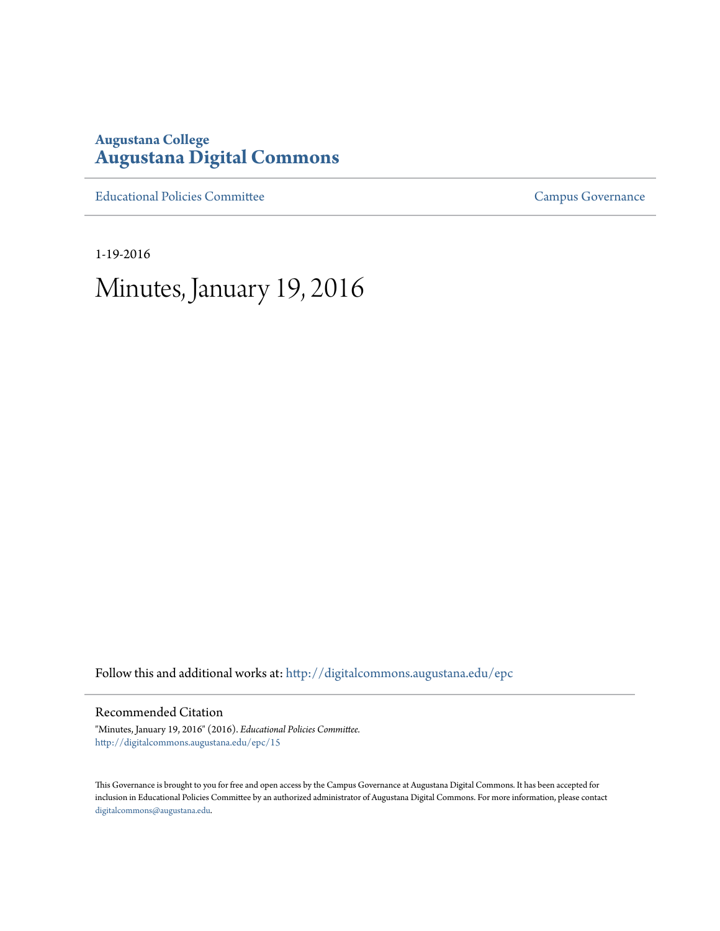## **Augustana College [Augustana Digital Commons](http://digitalcommons.augustana.edu?utm_source=digitalcommons.augustana.edu%2Fepc%2F15&utm_medium=PDF&utm_campaign=PDFCoverPages)**

[Educational Policies Committee](http://digitalcommons.augustana.edu/epc?utm_source=digitalcommons.augustana.edu%2Fepc%2F15&utm_medium=PDF&utm_campaign=PDFCoverPages) **[Campus Governance](http://digitalcommons.augustana.edu/governance?utm_source=digitalcommons.augustana.edu%2Fepc%2F15&utm_medium=PDF&utm_campaign=PDFCoverPages)** Campus Governance

1-19-2016

## Minutes, January 19, 2016

Follow this and additional works at: [http://digitalcommons.augustana.edu/epc](http://digitalcommons.augustana.edu/epc?utm_source=digitalcommons.augustana.edu%2Fepc%2F15&utm_medium=PDF&utm_campaign=PDFCoverPages)

Recommended Citation

"Minutes, January 19, 2016" (2016). *Educational Policies Committee.* [http://digitalcommons.augustana.edu/epc/15](http://digitalcommons.augustana.edu/epc/15?utm_source=digitalcommons.augustana.edu%2Fepc%2F15&utm_medium=PDF&utm_campaign=PDFCoverPages)

This Governance is brought to you for free and open access by the Campus Governance at Augustana Digital Commons. It has been accepted for inclusion in Educational Policies Committee by an authorized administrator of Augustana Digital Commons. For more information, please contact [digitalcommons@augustana.edu.](mailto:digitalcommons@augustana.edu)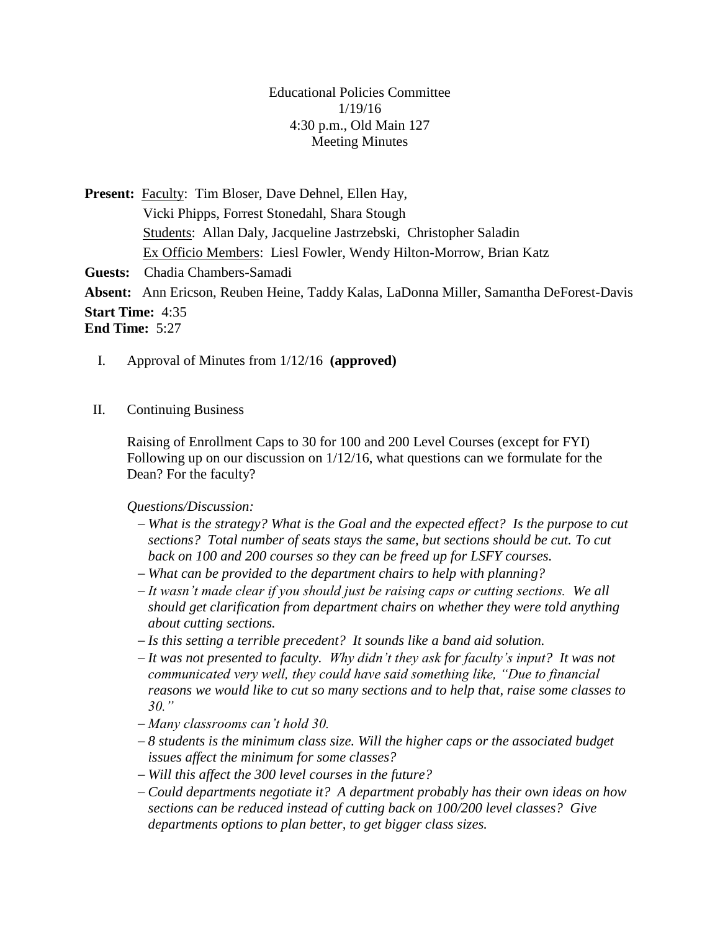Educational Policies Committee 1/19/16 4:30 p.m., Old Main 127 Meeting Minutes

Present: Faculty: Tim Bloser, Dave Dehnel, Ellen Hay, Vicki Phipps, Forrest Stonedahl, Shara Stough Students: Allan Daly, Jacqueline Jastrzebski, Christopher Saladin Ex Officio Members: Liesl Fowler, Wendy Hilton-Morrow, Brian Katz **Guests:** Chadia Chambers-Samadi **Absent:** Ann Ericson, Reuben Heine, Taddy Kalas, LaDonna Miller, Samantha DeForest-Davis **Start Time:** 4:35 **End Time:** 5:27

- I. Approval of Minutes from 1/12/16 **(approved)**
- II. Continuing Business

Raising of Enrollment Caps to 30 for 100 and 200 Level Courses (except for FYI) Following up on our discussion on 1/12/16, what questions can we formulate for the Dean? For the faculty?

*Questions/Discussion:*

- *What is the strategy? What is the Goal and the expected effect? Is the purpose to cut sections? Total number of seats stays the same, but sections should be cut. To cut back on 100 and 200 courses so they can be freed up for LSFY courses.*
- *What can be provided to the department chairs to help with planning?*
- *It wasn't made clear if you should just be raising caps or cutting sections. We all should get clarification from department chairs on whether they were told anything about cutting sections.*
- *Is this setting a terrible precedent? It sounds like a band aid solution.*
- *It was not presented to faculty. Why didn't they ask for faculty's input? It was not communicated very well, they could have said something like, "Due to financial reasons we would like to cut so many sections and to help that, raise some classes to 30."*
- *Many classrooms can't hold 30.*
- *8 students is the minimum class size. Will the higher caps or the associated budget issues affect the minimum for some classes?*
- *Will this affect the 300 level courses in the future?*
- *Could departments negotiate it? A department probably has their own ideas on how sections can be reduced instead of cutting back on 100/200 level classes? Give departments options to plan better, to get bigger class sizes.*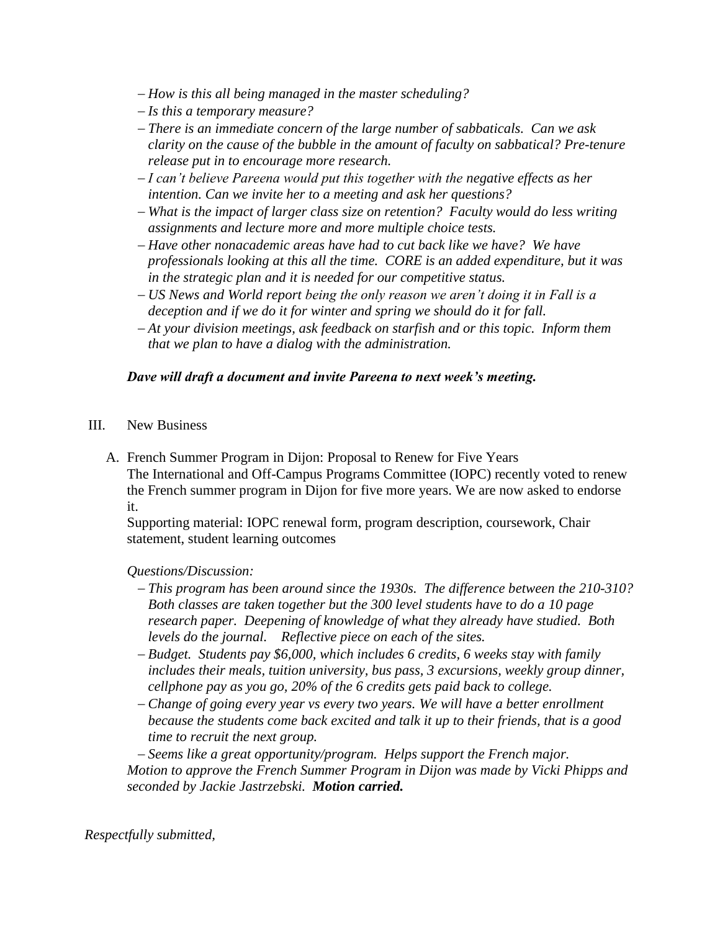- *How is this all being managed in the master scheduling?*
- *Is this a temporary measure?*
- *There is an immediate concern of the large number of sabbaticals. Can we ask clarity on the cause of the bubble in the amount of faculty on sabbatical? Pre-tenure release put in to encourage more research.*
- *I can't believe Pareena would put this together with the negative effects as her intention. Can we invite her to a meeting and ask her questions?*
- *What is the impact of larger class size on retention? Faculty would do less writing assignments and lecture more and more multiple choice tests.*
- *Have other nonacademic areas have had to cut back like we have? We have professionals looking at this all the time. CORE is an added expenditure, but it was in the strategic plan and it is needed for our competitive status.*
- *US News and World report being the only reason we aren't doing it in Fall is a deception and if we do it for winter and spring we should do it for fall.*
- *At your division meetings, ask feedback on starfish and or this topic. Inform them that we plan to have a dialog with the administration.*

## *Dave will draft a document and invite Pareena to next week's meeting.*

- III. New Business
	- A. French Summer Program in Dijon: Proposal to Renew for Five Years The International and Off-Campus Programs Committee (IOPC) recently voted to renew the French summer program in Dijon for five more years. We are now asked to endorse it.

Supporting material: IOPC renewal form, program description, coursework, Chair statement, student learning outcomes

## *Questions/Discussion:*

- *This program has been around since the 1930s. The difference between the 210-310? Both classes are taken together but the 300 level students have to do a 10 page research paper. Deepening of knowledge of what they already have studied. Both levels do the journal. Reflective piece on each of the sites.*
- *Budget. Students pay \$6,000, which includes 6 credits, 6 weeks stay with family includes their meals, tuition university, bus pass, 3 excursions, weekly group dinner, cellphone pay as you go, 20% of the 6 credits gets paid back to college.*
- *Change of going every year vs every two years. We will have a better enrollment because the students come back excited and talk it up to their friends, that is a good time to recruit the next group.*

 *Seems like a great opportunity/program. Helps support the French major. Motion to approve the French Summer Program in Dijon was made by Vicki Phipps and seconded by Jackie Jastrzebski. Motion carried.*

*Respectfully submitted,*